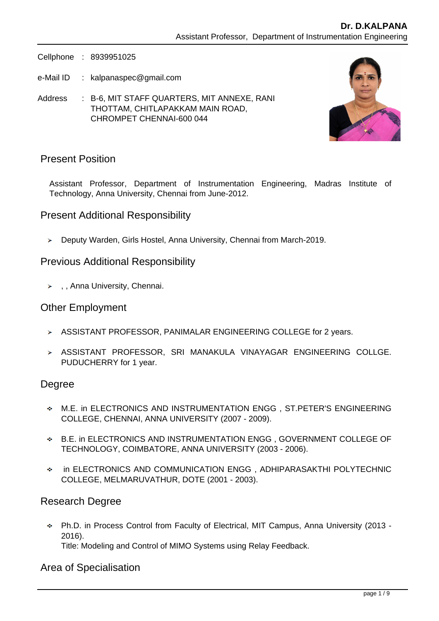Cellphone : 8939951025

- e-Mail ID : kalpanaspec@gmail.com
- Address : B-6, MIT STAFF QUARTERS, MIT ANNEXE, RANI THOTTAM, CHITLAPAKKAM MAIN ROAD, CHROMPET CHENNAI-600 044



## Present Position

Assistant Professor, Department of Instrumentation Engineering, Madras Institute of Technology, Anna University, Chennai from June-2012.

### Present Additional Responsibility

Deputy Warden, Girls Hostel, Anna University, Chennai from March-2019.

#### Previous Additional Responsibility

> , , Anna University, Chennai.

#### Other Employment

- > ASSISTANT PROFESSOR, PANIMALAR ENGINEERING COLLEGE for 2 years.
- ASSISTANT PROFESSOR, SRI MANAKULA VINAYAGAR ENGINEERING COLLGE. PUDUCHERRY for 1 year.

#### Degree

- M.E. in ELECTRONICS AND INSTRUMENTATION ENGG , ST.PETER'S ENGINEERING COLLEGE, CHENNAI, ANNA UNIVERSITY (2007 - 2009).
- B.E. in ELECTRONICS AND INSTRUMENTATION ENGG , GOVERNMENT COLLEGE OF TECHNOLOGY, COIMBATORE, ANNA UNIVERSITY (2003 - 2006).
- in ELECTRONICS AND COMMUNICATION ENGG , ADHIPARASAKTHI POLYTECHNIC COLLEGE, MELMARUVATHUR, DOTE (2001 - 2003).

## Research Degree

Ph.D. in Process Control from Faculty of Electrical, MIT Campus, Anna University (2013 - 2016).

Title: Modeling and Control of MIMO Systems using Relay Feedback.

#### Area of Specialisation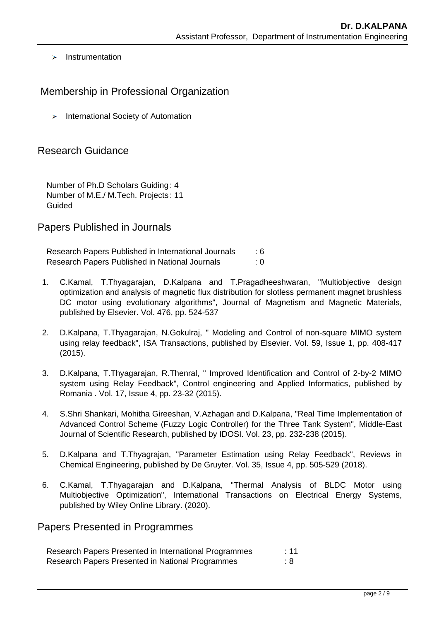$\blacktriangleright$  Instrumentation

# Membership in Professional Organization

 $\blacktriangleright$  International Society of Automation

## Research Guidance

Number of Ph.D Scholars Guiding : 4 Number of M.E./ M.Tech. Projects : 11 Guided

#### Papers Published in Journals

Research Papers Published in International Journals : 6 Research Papers Published in National Journals : 0

- 1. C.Kamal, T.Thyagarajan, D.Kalpana and T.Pragadheeshwaran, "Multiobjective design optimization and analysis of magnetic flux distribution for slotless permanent magnet brushless DC motor using evolutionary algorithms", Journal of Magnetism and Magnetic Materials, published by Elsevier. Vol. 476, pp. 524-537
- 2. D.Kalpana, T.Thyagarajan, N.Gokulraj, " Modeling and Control of non-square MIMO system using relay feedback", ISA Transactions, published by Elsevier. Vol. 59, Issue 1, pp. 408-417 (2015).
- 3. D.Kalpana, T.Thyagarajan, R.Thenral, " Improved Identification and Control of 2-by-2 MIMO system using Relay Feedback", Control engineering and Applied Informatics, published by Romania . Vol. 17, Issue 4, pp. 23-32 (2015).
- 4. S.Shri Shankari, Mohitha Gireeshan, V.Azhagan and D.Kalpana, "Real Time Implementation of Advanced Control Scheme (Fuzzy Logic Controller) for the Three Tank System", Middle-East Journal of Scientific Research, published by IDOSI. Vol. 23, pp. 232-238 (2015).
- 5. D.Kalpana and T.Thyagrajan, "Parameter Estimation using Relay Feedback", Reviews in Chemical Engineering, published by De Gruyter. Vol. 35, Issue 4, pp. 505-529 (2018).
- 6. C.Kamal, T.Thyagarajan and D.Kalpana, "Thermal Analysis of BLDC Motor using Multiobjective Optimization", International Transactions on Electrical Energy Systems, published by Wiley Online Library. (2020).

Papers Presented in Programmes

| Research Papers Presented in International Programmes | :11 |
|-------------------------------------------------------|-----|
| Research Papers Presented in National Programmes      | : 8 |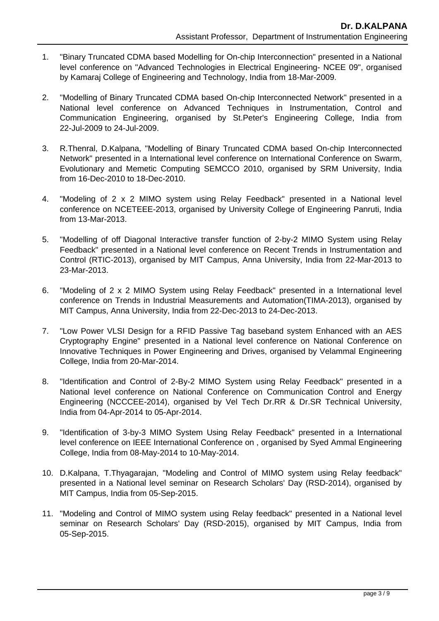- 1. "Binary Truncated CDMA based Modelling for On-chip Interconnection" presented in a National level conference on "Advanced Technologies in Electrical Engineering- NCEE 09", organised by Kamaraj College of Engineering and Technology, India from 18-Mar-2009.
- 2. "Modelling of Binary Truncated CDMA based On-chip Interconnected Network" presented in a National level conference on Advanced Techniques in Instrumentation, Control and Communication Engineering, organised by St.Peter's Engineering College, India from 22-Jul-2009 to 24-Jul-2009.
- 3. R.Thenral, D.Kalpana, "Modelling of Binary Truncated CDMA based On-chip Interconnected Network" presented in a International level conference on International Conference on Swarm, Evolutionary and Memetic Computing SEMCCO 2010, organised by SRM University, India from 16-Dec-2010 to 18-Dec-2010.
- 4. "Modeling of 2 x 2 MIMO system using Relay Feedback" presented in a National level conference on NCETEEE-2013, organised by University College of Engineering Panruti, India from 13-Mar-2013.
- 5. "Modelling of off Diagonal Interactive transfer function of 2-by-2 MIMO System using Relay Feedback" presented in a National level conference on Recent Trends in Instrumentation and Control (RTIC-2013), organised by MIT Campus, Anna University, India from 22-Mar-2013 to 23-Mar-2013.
- 6. "Modeling of 2 x 2 MIMO System using Relay Feedback" presented in a International level conference on Trends in Industrial Measurements and Automation(TIMA-2013), organised by MIT Campus, Anna University, India from 22-Dec-2013 to 24-Dec-2013.
- 7. "Low Power VLSI Design for a RFID Passive Tag baseband system Enhanced with an AES Cryptography Engine" presented in a National level conference on National Conference on Innovative Techniques in Power Engineering and Drives, organised by Velammal Engineering College, India from 20-Mar-2014.
- 8. "Identification and Control of 2-By-2 MIMO System using Relay Feedback" presented in a National level conference on National Conference on Communication Control and Energy Engineering (NCCCEE-2014), organised by Vel Tech Dr.RR & Dr.SR Technical University, India from 04-Apr-2014 to 05-Apr-2014.
- 9. "Identification of 3-by-3 MIMO System Using Relay Feedback" presented in a International level conference on IEEE International Conference on , organised by Syed Ammal Engineering College, India from 08-May-2014 to 10-May-2014.
- 10. D.Kalpana, T.Thyagarajan, "Modeling and Control of MIMO system using Relay feedback" presented in a National level seminar on Research Scholars' Day (RSD-2014), organised by MIT Campus, India from 05-Sep-2015.
- 11. "Modeling and Control of MIMO system using Relay feedback" presented in a National level seminar on Research Scholars' Day (RSD-2015), organised by MIT Campus, India from 05-Sep-2015.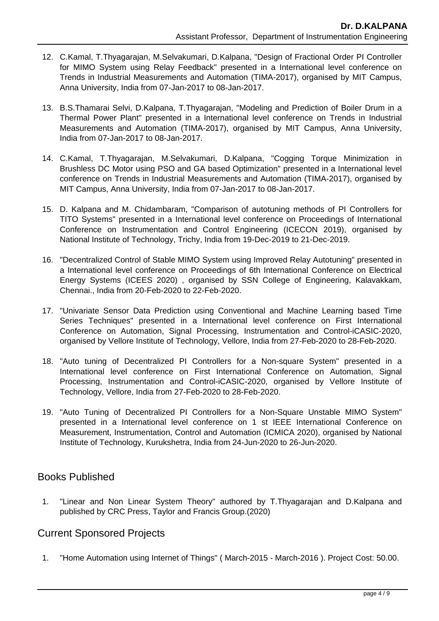- 12. C.Kamal, T.Thyagarajan, M.Selvakumari, D.Kalpana, "Design of Fractional Order PI Controller for MIMO System using Relay Feedback" presented in a International level conference on Trends in Industrial Measurements and Automation (TIMA-2017), organised by MIT Campus, Anna University, India from 07-Jan-2017 to 08-Jan-2017.
- 13. B.S.Thamarai Selvi, D.Kalpana, T.Thyagarajan, "Modeling and Prediction of Boiler Drum in a Thermal Power Plant" presented in a International level conference on Trends in Industrial Measurements and Automation (TIMA-2017), organised by MIT Campus, Anna University, India from 07-Jan-2017 to 08-Jan-2017.
- 14. C.Kamal, T.Thyagarajan, M.Selvakumari, D.Kalpana, "Cogging Torque Minimization in Brushless DC Motor using PSO and GA based Optimization" presented in a International level conference on Trends in Industrial Measurements and Automation (TIMA-2017), organised by MIT Campus, Anna University, India from 07-Jan-2017 to 08-Jan-2017.
- 15. D. Kalpana and M. Chidambaram, "Comparison of autotuning methods of PI Controllers for TITO Systems" presented in a International level conference on Proceedings of International Conference on Instrumentation and Control Engineering (ICECON 2019), organised by National Institute of Technology, Trichy, India from 19-Dec-2019 to 21-Dec-2019.
- 16. "Decentralized Control of Stable MIMO System using Improved Relay Autotuning" presented in a International level conference on Proceedings of 6th International Conference on Electrical Energy Systems (ICEES 2020) , organised by SSN College of Engineering, Kalavakkam, Chennai., India from 20-Feb-2020 to 22-Feb-2020.
- 17. "Univariate Sensor Data Prediction using Conventional and Machine Learning based Time Series Techniques" presented in a International level conference on First International Conference on Automation, Signal Processing, Instrumentation and Control-iCASIC-2020, organised by Vellore Institute of Technology, Vellore, India from 27-Feb-2020 to 28-Feb-2020.
- 18. "Auto tuning of Decentralized PI Controllers for a Non-square System" presented in a International level conference on First International Conference on Automation, Signal Processing, Instrumentation and Control-iCASIC-2020, organised by Vellore Institute of Technology, Vellore, India from 27-Feb-2020 to 28-Feb-2020.
- 19. "Auto Tuning of Decentralized PI Controllers for a Non-Square Unstable MIMO System" presented in a International level conference on 1 st IEEE International Conference on Measurement, Instrumentation, Control and Automation (ICMICA 2020), organised by National Institute of Technology, Kurukshetra, India from 24-Jun-2020 to 26-Jun-2020.

## Books Published

 1. "Linear and Non Linear System Theory" authored by T.Thyagarajan and D.Kalpana and published by CRC Press, Taylor and Francis Group.(2020)

# Current Sponsored Projects

1. "Home Automation using Internet of Things" ( March-2015 - March-2016 ). Project Cost: 50.00.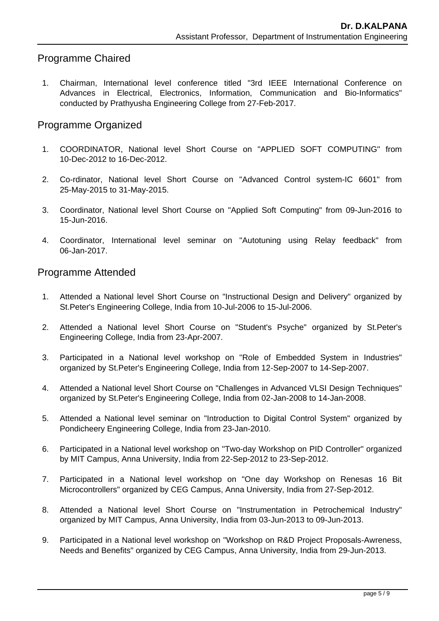# Programme Chaired

 1. Chairman, International level conference titled "3rd IEEE International Conference on Advances in Electrical, Electronics, Information, Communication and Bio-Informatics" conducted by Prathyusha Engineering College from 27-Feb-2017.

# Programme Organized

- 1. COORDINATOR, National level Short Course on "APPLIED SOFT COMPUTING" from 10-Dec-2012 to 16-Dec-2012.
- 2. Co-rdinator, National level Short Course on "Advanced Control system-IC 6601" from 25-May-2015 to 31-May-2015.
- 3. Coordinator, National level Short Course on "Applied Soft Computing" from 09-Jun-2016 to 15-Jun-2016.
- 4. Coordinator, International level seminar on "Autotuning using Relay feedback" from 06-Jan-2017.

### Programme Attended

- 1. Attended a National level Short Course on "Instructional Design and Delivery" organized by St.Peter's Engineering College, India from 10-Jul-2006 to 15-Jul-2006.
- 2. Attended a National level Short Course on "Student's Psyche" organized by St.Peter's Engineering College, India from 23-Apr-2007.
- 3. Participated in a National level workshop on "Role of Embedded System in Industries" organized by St.Peter's Engineering College, India from 12-Sep-2007 to 14-Sep-2007.
- 4. Attended a National level Short Course on "Challenges in Advanced VLSI Design Techniques" organized by St.Peter's Engineering College, India from 02-Jan-2008 to 14-Jan-2008.
- 5. Attended a National level seminar on "Introduction to Digital Control System" organized by Pondicheery Engineering College, India from 23-Jan-2010.
- 6. Participated in a National level workshop on "Two-day Workshop on PID Controller" organized by MIT Campus, Anna University, India from 22-Sep-2012 to 23-Sep-2012.
- 7. Participated in a National level workshop on "One day Workshop on Renesas 16 Bit Microcontrollers" organized by CEG Campus, Anna University, India from 27-Sep-2012.
- 8. Attended a National level Short Course on "Instrumentation in Petrochemical Industry" organized by MIT Campus, Anna University, India from 03-Jun-2013 to 09-Jun-2013.
- 9. Participated in a National level workshop on "Workshop on R&D Project Proposals-Awreness, Needs and Benefits" organized by CEG Campus, Anna University, India from 29-Jun-2013.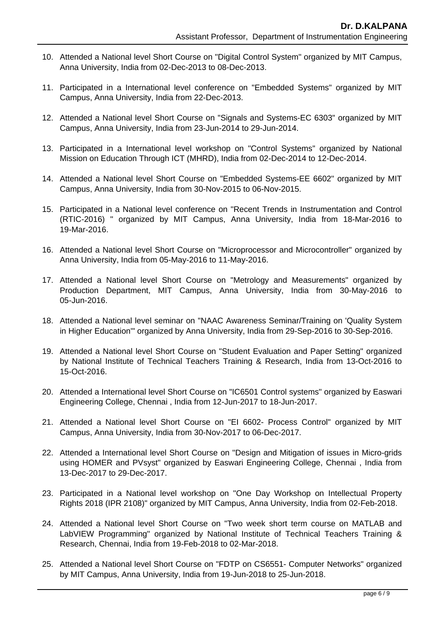- 10. Attended a National level Short Course on "Digital Control System" organized by MIT Campus, Anna University, India from 02-Dec-2013 to 08-Dec-2013.
- 11. Participated in a International level conference on "Embedded Systems" organized by MIT Campus, Anna University, India from 22-Dec-2013.
- 12. Attended a National level Short Course on "Signals and Systems-EC 6303" organized by MIT Campus, Anna University, India from 23-Jun-2014 to 29-Jun-2014.
- 13. Participated in a International level workshop on "Control Systems" organized by National Mission on Education Through ICT (MHRD), India from 02-Dec-2014 to 12-Dec-2014.
- 14. Attended a National level Short Course on "Embedded Systems-EE 6602" organized by MIT Campus, Anna University, India from 30-Nov-2015 to 06-Nov-2015.
- 15. Participated in a National level conference on "Recent Trends in Instrumentation and Control (RTIC-2016) " organized by MIT Campus, Anna University, India from 18-Mar-2016 to 19-Mar-2016.
- 16. Attended a National level Short Course on "Microprocessor and Microcontroller" organized by Anna University, India from 05-May-2016 to 11-May-2016.
- 17. Attended a National level Short Course on "Metrology and Measurements" organized by Production Department, MIT Campus, Anna University, India from 30-May-2016 to 05-Jun-2016.
- 18. Attended a National level seminar on "NAAC Awareness Seminar/Training on 'Quality System in Higher Education'" organized by Anna University, India from 29-Sep-2016 to 30-Sep-2016.
- 19. Attended a National level Short Course on "Student Evaluation and Paper Setting" organized by National Institute of Technical Teachers Training & Research, India from 13-Oct-2016 to 15-Oct-2016.
- 20. Attended a International level Short Course on "IC6501 Control systems" organized by Easwari Engineering College, Chennai , India from 12-Jun-2017 to 18-Jun-2017.
- 21. Attended a National level Short Course on "EI 6602- Process Control" organized by MIT Campus, Anna University, India from 30-Nov-2017 to 06-Dec-2017.
- 22. Attended a International level Short Course on "Design and Mitigation of issues in Micro-grids using HOMER and PVsyst" organized by Easwari Engineering College, Chennai , India from 13-Dec-2017 to 29-Dec-2017.
- 23. Participated in a National level workshop on "One Day Workshop on Intellectual Property Rights 2018 (IPR 2108)" organized by MIT Campus, Anna University, India from 02-Feb-2018.
- 24. Attended a National level Short Course on "Two week short term course on MATLAB and LabVIEW Programming" organized by National Institute of Technical Teachers Training & Research, Chennai, India from 19-Feb-2018 to 02-Mar-2018.
- 25. Attended a National level Short Course on "FDTP on CS6551- Computer Networks" organized by MIT Campus, Anna University, India from 19-Jun-2018 to 25-Jun-2018.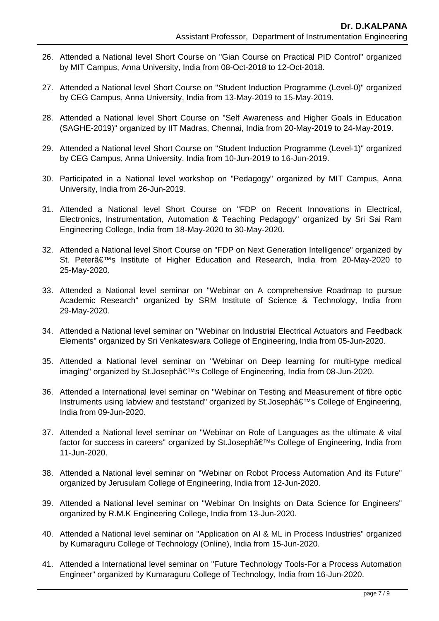- 26. Attended a National level Short Course on "Gian Course on Practical PID Control" organized by MIT Campus, Anna University, India from 08-Oct-2018 to 12-Oct-2018.
- 27. Attended a National level Short Course on "Student Induction Programme (Level-0)" organized by CEG Campus, Anna University, India from 13-May-2019 to 15-May-2019.
- 28. Attended a National level Short Course on "Self Awareness and Higher Goals in Education (SAGHE-2019)" organized by IIT Madras, Chennai, India from 20-May-2019 to 24-May-2019.
- 29. Attended a National level Short Course on "Student Induction Programme (Level-1)" organized by CEG Campus, Anna University, India from 10-Jun-2019 to 16-Jun-2019.
- 30. Participated in a National level workshop on "Pedagogy" organized by MIT Campus, Anna University, India from 26-Jun-2019.
- 31. Attended a National level Short Course on "FDP on Recent Innovations in Electrical, Electronics, Instrumentation, Automation & Teaching Pedagogy" organized by Sri Sai Ram Engineering College, India from 18-May-2020 to 30-May-2020.
- 32. Attended a National level Short Course on "FDP on Next Generation Intelligence" organized by St. Peter's Institute of Higher Education and Research, India from 20-May-2020 to 25-May-2020.
- 33. Attended a National level seminar on "Webinar on A comprehensive Roadmap to pursue Academic Research" organized by SRM Institute of Science & Technology, India from 29-May-2020.
- 34. Attended a National level seminar on "Webinar on Industrial Electrical Actuators and Feedback Elements" organized by Sri Venkateswara College of Engineering, India from 05-Jun-2020.
- 35. Attended a National level seminar on "Webinar on Deep learning for multi-type medical imaging" organized by St.Joseph's College of Engineering, India from 08-Jun-2020.
- 36. Attended a International level seminar on "Webinar on Testing and Measurement of fibre optic Instruments using labview and teststand" organized by St.Joseph's College of Engineering, India from 09-Jun-2020.
- 37. Attended a National level seminar on "Webinar on Role of Languages as the ultimate & vital factor for success in careers" organized by St.Joseph's College of Engineering, India from 11-Jun-2020.
- 38. Attended a National level seminar on "Webinar on Robot Process Automation And its Future" organized by Jerusulam College of Engineering, India from 12-Jun-2020.
- 39. Attended a National level seminar on "Webinar On Insights on Data Science for Engineers" organized by R.M.K Engineering College, India from 13-Jun-2020.
- 40. Attended a National level seminar on "Application on AI & ML in Process Industries" organized by Kumaraguru College of Technology (Online), India from 15-Jun-2020.
- 41. Attended a International level seminar on "Future Technology Tools-For a Process Automation Engineer" organized by Kumaraguru College of Technology, India from 16-Jun-2020.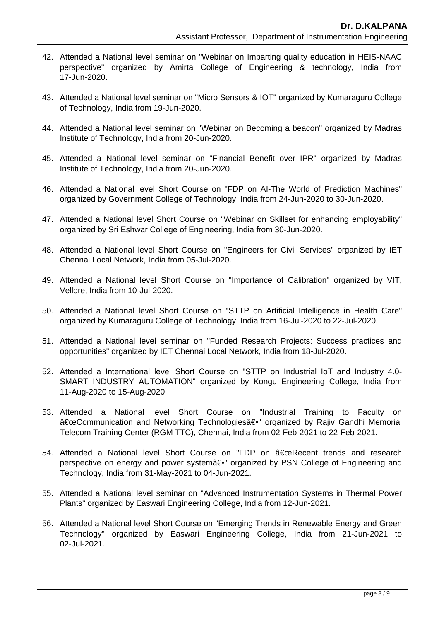- 42. Attended a National level seminar on "Webinar on Imparting quality education in HEIS-NAAC perspective" organized by Amirta College of Engineering & technology, India from 17-Jun-2020.
- 43. Attended a National level seminar on "Micro Sensors & IOT" organized by Kumaraguru College of Technology, India from 19-Jun-2020.
- 44. Attended a National level seminar on "Webinar on Becoming a beacon" organized by Madras Institute of Technology, India from 20-Jun-2020.
- 45. Attended a National level seminar on "Financial Benefit over IPR" organized by Madras Institute of Technology, India from 20-Jun-2020.
- 46. Attended a National level Short Course on "FDP on AI-The World of Prediction Machines" organized by Government College of Technology, India from 24-Jun-2020 to 30-Jun-2020.
- 47. Attended a National level Short Course on "Webinar on Skillset for enhancing employability" organized by Sri Eshwar College of Engineering, India from 30-Jun-2020.
- 48. Attended a National level Short Course on "Engineers for Civil Services" organized by IET Chennai Local Network, India from 05-Jul-2020.
- 49. Attended a National level Short Course on "Importance of Calibration" organized by VIT, Vellore, India from 10-Jul-2020.
- 50. Attended a National level Short Course on "STTP on Artificial Intelligence in Health Care" organized by Kumaraguru College of Technology, India from 16-Jul-2020 to 22-Jul-2020.
- 51. Attended a National level seminar on "Funded Research Projects: Success practices and opportunities" organized by IET Chennai Local Network, India from 18-Jul-2020.
- 52. Attended a International level Short Course on "STTP on Industrial IoT and Industry 4.0- SMART INDUSTRY AUTOMATION" organized by Kongu Engineering College, India from 11-Aug-2020 to 15-Aug-2020.
- 53. Attended a National level Short Course on "Industrial Training to Faculty on "Communication and Networking Technologies―" organized by Rajiv Gandhi Memorial Telecom Training Center (RGM TTC), Chennai, India from 02-Feb-2021 to 22-Feb-2021.
- 54. Attended a National level Short Course on "FDP on "Recent trends and research perspective on energy and power systemâ€. organized by PSN College of Engineering and Technology, India from 31-May-2021 to 04-Jun-2021.
- 55. Attended a National level seminar on "Advanced Instrumentation Systems in Thermal Power Plants" organized by Easwari Engineering College, India from 12-Jun-2021.
- 56. Attended a National level Short Course on "Emerging Trends in Renewable Energy and Green Technology" organized by Easwari Engineering College, India from 21-Jun-2021 to 02-Jul-2021.